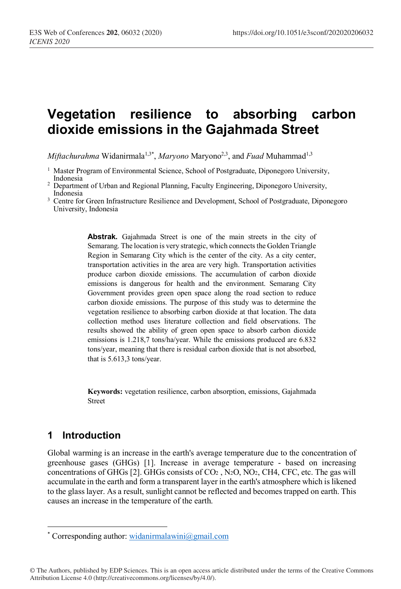# **Vegetation resilience to absorbing carbon dioxide emissions in the Gajahmada Street**

*Miftachurahma* Widanirmala<sup>1,3\*</sup>, *Maryono* Maryono<sup>2,3</sup>, and *Fuad* Muhammad<sup>1,3</sup>

- <sup>1</sup> Master Program of Environmental Science, School of Postgraduate, Diponegoro University, Indonesia
- <sup>2</sup> Department of Urban and Regional Planning, Faculty Engineering, Diponegoro University, Indonesia
- <sup>3</sup> Centre for Green Infrastructure Resilience and Development, School of Postgraduate, Diponegoro University, Indonesia

**Abstrak.** Gajahmada Street is one of the main streets in the city of Semarang. The location is very strategic, which connects the Golden Triangle Region in Semarang City which is the center of the city. As a city center, transportation activities in the area are very high. Transportation activities produce carbon dioxide emissions. The accumulation of carbon dioxide emissions is dangerous for health and the environment. Semarang City Government provides green open space along the road section to reduce carbon dioxide emissions. The purpose of this study was to determine the vegetation resilience to absorbing carbon dioxide at that location. The data collection method uses literature collection and field observations. The results showed the ability of green open space to absorb carbon dioxide emissions is 1.218,7 tons/ha/year. While the emissions produced are 6.832 tons/year, meaning that there is residual carbon dioxide that is not absorbed, that is 5.613,3 tons/year.

**Keywords:** vegetation resilience, carbon absorption, emissions, Gajahmada Street

# **1 Introduction**

Global warming is an increase in the earth's average temperature due to the concentration of greenhouse gases (GHGs) [1]. Increase in average temperature - based on increasing concentrations of GHGs  $[2]$ . GHGs consists of CO<sub>2</sub>, N<sub>2</sub>O, NO<sub>2</sub>, CH4, CFC, etc. The gas will accumulate in the earth and form a transparent layer in the earth's atmosphere which is likened to the glass layer. As a result, sunlight cannot be reflected and becomes trapped on earth. This causes an increase in the temperature of the earth.

© The Authors, published by EDP Sciences. This is an open access article distributed under the terms of the Creative Commons Attribution License 4.0 (http://creativecommons.org/licenses/by/4.0/).

 <sup>\*</sup> Corresponding author: widanirmalawini@gmail.com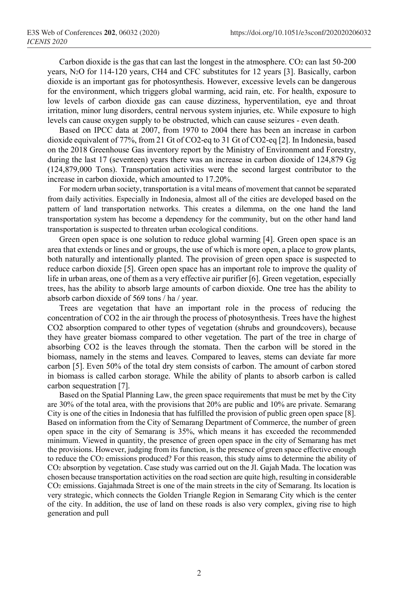Carbon dioxide is the gas that can last the longest in the atmosphere.  $CO<sub>2</sub>$  can last 50-200 years, N2O for 114-120 years, CH4 and CFC substitutes for 12 years [3]. Basically, carbon dioxide is an important gas for photosynthesis. However, excessive levels can be dangerous for the environment, which triggers global warming, acid rain, etc. For health, exposure to low levels of carbon dioxide gas can cause dizziness, hyperventilation, eye and throat irritation, minor lung disorders, central nervous system injuries, etc. While exposure to high levels can cause oxygen supply to be obstructed, which can cause seizures - even death.

Based on IPCC data at 2007, from 1970 to 2004 there has been an increase in carbon dioxide equivalent of 77%, from 21 Gt of CO2-eq to 31 Gt of CO2-eq [2]. In Indonesia, based on the 2018 Greenhouse Gas inventory report by the Ministry of Environment and Forestry, during the last 17 (seventeen) years there was an increase in carbon dioxide of 124,879 Gg (124,879,000 Tons). Transportation activities were the second largest contributor to the increase in carbon dioxide, which amounted to 17.20%.

For modern urban society, transportation is a vital means of movement that cannot be separated from daily activities. Especially in Indonesia, almost all of the cities are developed based on the pattern of land transportation networks. This creates a dilemma, on the one hand the land transportation system has become a dependency for the community, but on the other hand land transportation is suspected to threaten urban ecological conditions.

Green open space is one solution to reduce global warming [4]. Green open space is an area that extends or lines and or groups, the use of which is more open, a place to grow plants, both naturally and intentionally planted. The provision of green open space is suspected to reduce carbon dioxide [5]. Green open space has an important role to improve the quality of life in urban areas, one of them as a very effective air purifier [6]. Green vegetation, especially trees, has the ability to absorb large amounts of carbon dioxide. One tree has the ability to absorb carbon dioxide of 569 tons / ha / year.

Trees are vegetation that have an important role in the process of reducing the concentration of CO2 in the air through the process of photosynthesis. Trees have the highest CO2 absorption compared to other types of vegetation (shrubs and groundcovers), because they have greater biomass compared to other vegetation. The part of the tree in charge of absorbing CO2 is the leaves through the stomata. Then the carbon will be stored in the biomass, namely in the stems and leaves. Compared to leaves, stems can deviate far more carbon [5]. Even 50% of the total dry stem consists of carbon. The amount of carbon stored in biomass is called carbon storage. While the ability of plants to absorb carbon is called carbon sequestration [7].

Based on the Spatial Planning Law, the green space requirements that must be met by the City are 30% of the total area, with the provisions that 20% are public and 10% are private. Semarang City is one of the cities in Indonesia that has fulfilled the provision of public green open space [8]. Based on information from the City of Semarang Department of Commerce, the number of green open space in the city of Semarang is 35%, which means it has exceeded the recommended minimum. Viewed in quantity, the presence of green open space in the city of Semarang has met the provisions. However, judging from its function, is the presence of green space effective enough to reduce the CO2 emissions produced? For this reason, this study aims to determine the ability of CO2 absorption by vegetation. Case study was carried out on the Jl. Gajah Mada. The location was chosen because transportation activities on the road section are quite high, resulting in considerable CO2 emissions. Gajahmada Street is one of the main streets in the city of Semarang. Its location is very strategic, which connects the Golden Triangle Region in Semarang City which is the center of the city. In addition, the use of land on these roads is also very complex, giving rise to high generation and pull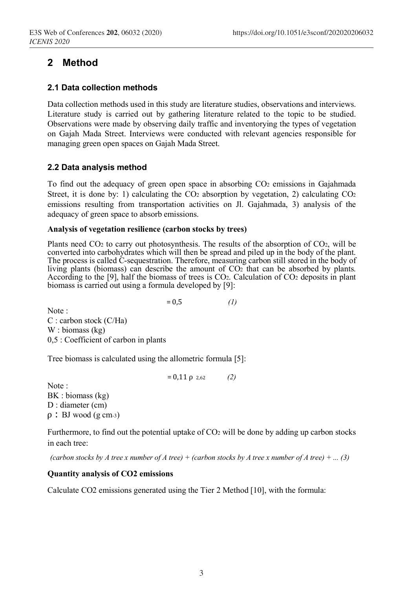# **2 Method**

#### **2.1 Data collection methods**

Data collection methods used in this study are literature studies, observations and interviews. Literature study is carried out by gathering literature related to the topic to be studied. Observations were made by observing daily traffic and inventorying the types of vegetation on Gajah Mada Street. Interviews were conducted with relevant agencies responsible for managing green open spaces on Gajah Mada Street.

### **2.2 Data analysis method**

To find out the adequacy of green open space in absorbing CO2 emissions in Gajahmada Street, it is done by: 1) calculating the  $CO<sub>2</sub>$  absorption by vegetation, 2) calculating  $CO<sub>2</sub>$ emissions resulting from transportation activities on Jl. Gajahmada, 3) analysis of the adequacy of green space to absorb emissions.

#### **Analysis of vegetation resilience (carbon stocks by trees)**

Plants need CO<sub>2</sub> to carry out photosynthesis. The results of the absorption of CO<sub>2</sub>, will be converted into carbohydrates which will then be spread and piled up in the body of the plant. The process is called C-sequestration. Therefore, measuring carbon still stored in the body of living plants (biomass) can describe the amount of CO2 that can be absorbed by plants. According to the [9], half the biomass of trees is CO<sub>2</sub>. Calculation of CO<sub>2</sub> deposits in plant biomass is carried out using a formula developed by [9]:

 $= 0.5$  *(1)* 

Note : C : carbon stock (C/Ha) W : biomass (kg) 0,5 : Coefficient of carbon in plants

Tree biomass is calculated using the allometric formula [5]:

 $= 0,11 \rho_{2,62}$  *(2)* 

Note : BK : biomass (kg) D : diameter (cm)  $\rho$ : BJ wood (g cm-3)

Furthermore, to find out the potential uptake of  $CO<sub>2</sub>$  will be done by adding up carbon stocks in each tree:

*(carbon stocks by A tree x number of A tree) + (carbon stocks by A tree x number of A tree) + ... (3)*

#### **Quantity analysis of CO2 emissions**

Calculate CO2 emissions generated using the Tier 2 Method [10], with the formula: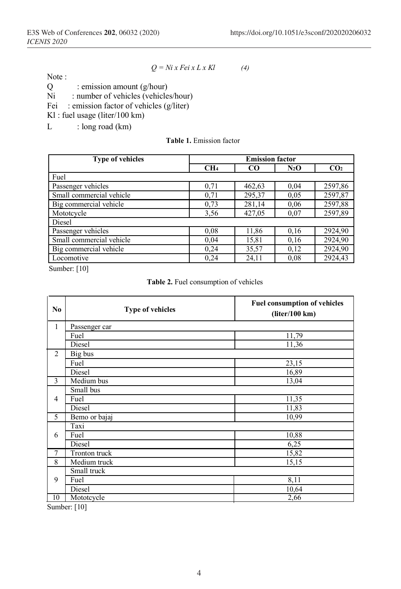Note :

$$
Q = Ni x Fei x L x Kl \tag{4}
$$

 $Q$  : emission amount  $(g/hour)$ <br>Ni : number of vehicles (vehicle

: number of vehicles (vehicles/hour)

Fei : emission factor of vehicles (g/liter)

Kl : fuel usage (liter/100 km)

 $L$  : long road (km)

**Table 1.** Emission factor

| <b>Type of vehicles</b>  | <b>Emission factor</b> |           |         |                 |
|--------------------------|------------------------|-----------|---------|-----------------|
|                          | CH <sub>4</sub>        | <b>CO</b> | $N_2$ O | CO <sub>2</sub> |
| Fuel                     |                        |           |         |                 |
| Passenger vehicles       | 0.71                   | 462,63    | 0,04    | 2597,86         |
| Small commercial vehicle | 0,71                   | 295,37    | 0,05    | 2597,87         |
| Big commercial vehicle   | 0.73                   | 281,14    | 0.06    | 2597,88         |
| Mototcycle               | 3.56                   | 427,05    | 0,07    | 2597,89         |
| Diesel                   |                        |           |         |                 |
| Passenger vehicles       | 0.08                   | 11,86     | 0.16    | 2924,90         |
| Small commercial vehicle | 0,04                   | 15,81     | 0.16    | 2924,90         |
| Big commercial vehicle   | 0,24                   | 35,57     | 0,12    | 2924,90         |
| Locomotive               | 0,24                   | 24,11     | 0,08    | 2924,43         |

Sumber: [10]

|  |  | <b>Table 2.</b> Fuel consumption of vehicles |  |  |
|--|--|----------------------------------------------|--|--|
|--|--|----------------------------------------------|--|--|

| N <sub>0</sub> | <b>Type of vehicles</b> | <b>Fuel consumption of vehicles</b><br>(liter/100 km) |
|----------------|-------------------------|-------------------------------------------------------|
| $\mathbf{1}$   | Passenger car           |                                                       |
|                | Fuel                    | 11,79                                                 |
|                | Diesel                  | 11,36                                                 |
| $\overline{2}$ | Big bus                 |                                                       |
|                | Fuel                    | 23,15                                                 |
|                | Diesel                  | 16,89                                                 |
| 3              | Medium bus              | 13,04                                                 |
|                | Small bus               |                                                       |
| $\overline{4}$ | Fuel                    | 11,35                                                 |
|                | Diesel                  | 11,83                                                 |
| 5              | Bemo or bajaj           | 10,99                                                 |
|                | Taxi                    |                                                       |
| 6              | Fuel                    | 10,88                                                 |
|                | Diesel                  | 6,25                                                  |
| $\tau$         | Tronton truck           | 15,82                                                 |
| 8              | Medium truck            | 15,15                                                 |
|                | Small truck             |                                                       |
| 9              | Fuel                    | 8,11                                                  |
|                | Diesel                  | 10,64                                                 |
| 10             | Mototcycle              | 2,66                                                  |

Sumber: [10]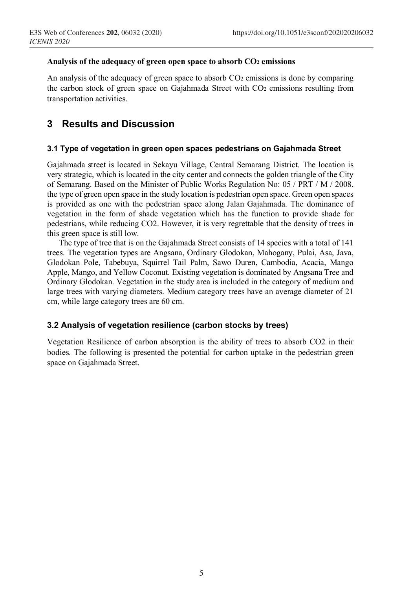#### **Analysis of the adequacy of green open space to absorb CO2 emissions**

An analysis of the adequacy of green space to absorb  $CO<sub>2</sub>$  emissions is done by comparing the carbon stock of green space on Gajahmada Street with CO2 emissions resulting from transportation activities.

### **3 Results and Discussion**

#### **3.1 Type of vegetation in green open spaces pedestrians on Gajahmada Street**

Gajahmada street is located in Sekayu Village, Central Semarang District. The location is very strategic, which is located in the city center and connects the golden triangle of the City of Semarang. Based on the Minister of Public Works Regulation No: 05 / PRT / M / 2008, the type of green open space in the study location is pedestrian open space. Green open spaces is provided as one with the pedestrian space along Jalan Gajahmada. The dominance of vegetation in the form of shade vegetation which has the function to provide shade for pedestrians, while reducing CO2. However, it is very regrettable that the density of trees in this green space is still low.

The type of tree that is on the Gajahmada Street consists of 14 species with a total of 141 trees. The vegetation types are Angsana, Ordinary Glodokan, Mahogany, Pulai, Asa, Java, Glodokan Pole, Tabebuya, Squirrel Tail Palm, Sawo Duren, Cambodia, Acacia, Mango Apple, Mango, and Yellow Coconut. Existing vegetation is dominated by Angsana Tree and Ordinary Glodokan. Vegetation in the study area is included in the category of medium and large trees with varying diameters. Medium category trees have an average diameter of 21 cm, while large category trees are 60 cm.

#### **3.2 Analysis of vegetation resilience (carbon stocks by trees)**

Vegetation Resilience of carbon absorption is the ability of trees to absorb CO2 in their bodies. The following is presented the potential for carbon uptake in the pedestrian green space on Gajahmada Street.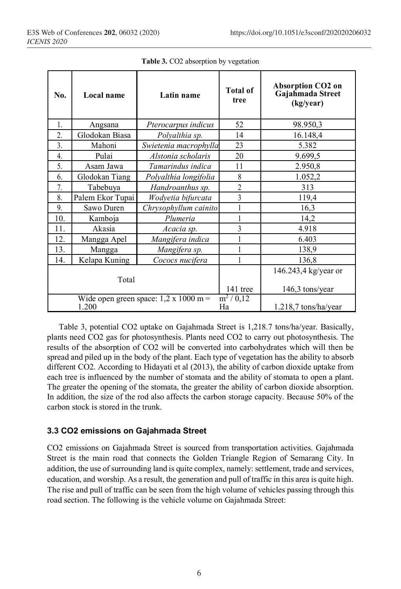| No.                                                                       | Local name       | Latin name            | <b>Total of</b><br>tree | <b>Absorption CO2 on</b><br>Gajahmada Street<br>(kg/year) |
|---------------------------------------------------------------------------|------------------|-----------------------|-------------------------|-----------------------------------------------------------|
| $\mathbf{1}$ .                                                            | Angsana          | Pterocarpus indicus   | 52                      | 98.950,3                                                  |
| $\overline{2}$ .                                                          | Glodokan Biasa   | Polyalthia sp.        | 14                      | 16.148,4                                                  |
| 3.                                                                        | Mahoni           | Swietenia macrophylla | 23                      | 5.382                                                     |
| 4.                                                                        | Pulai            | Alstonia scholaris    | 20                      | 9.699,5                                                   |
| 5.                                                                        | Asam Jawa        | Tamarindus indica     | 11                      | 2.950,8                                                   |
| 6.                                                                        | Glodokan Tiang   | Polyalthia longifolia | 8                       | 1.052,2                                                   |
| 7 <sub>1</sub>                                                            | Tabebuya         | Handroanthus sp.      | $\overline{2}$          | 313                                                       |
| 8.                                                                        | Palem Ekor Tupai | Wodyetia bifurcata    | 3                       | 119,4                                                     |
| 9.                                                                        | Sawo Duren       | Chrysophyllum cainito |                         | 16,3                                                      |
| 10.                                                                       | Kamboja          | Plumeria              |                         | 14,2                                                      |
| 11.                                                                       | Akasia           | Acacia sp.            | 3                       | 4.918                                                     |
| 12.                                                                       | Mangga Apel      | Mangifera indica      |                         | 6.403                                                     |
| 13.                                                                       | Mangga           | Mangifera sp.         |                         | 138,9                                                     |
| 14.                                                                       | Kelapa Kuning    | Cococs nucifera       |                         | 136,8                                                     |
|                                                                           | Total            |                       | 141 tree                | 146.243,4 kg/year or<br>$146,3$ tons/year                 |
| $m^2/0,12$<br>Wide open green space: $1,2 \times 1000$ m =<br>1.200<br>Ha |                  |                       |                         | $1.218,7$ tons/ha/year                                    |

**Table 3.** CO2 absorption by vegetation

Table 3, potential CO2 uptake on Gajahmada Street is 1,218.7 tons/ha/year. Basically, plants need CO2 gas for photosynthesis. Plants need CO2 to carry out photosynthesis. The results of the absorption of CO2 will be converted into carbohydrates which will then be spread and piled up in the body of the plant. Each type of vegetation has the ability to absorb different CO2. According to Hidayati et al (2013), the ability of carbon dioxide uptake from each tree is influenced by the number of stomata and the ability of stomata to open a plant. The greater the opening of the stomata, the greater the ability of carbon dioxide absorption. In addition, the size of the rod also affects the carbon storage capacity. Because 50% of the carbon stock is stored in the trunk.

### **3.3 CO2 emissions on Gajahmada Street**

CO2 emissions on Gajahmada Street is sourced from transportation activities. Gajahmada Street is the main road that connects the Golden Triangle Region of Semarang City. In addition, the use of surrounding land is quite complex, namely: settlement, trade and services, education, and worship. As a result, the generation and pull of traffic in this area is quite high. The rise and pull of traffic can be seen from the high volume of vehicles passing through this road section. The following is the vehicle volume on Gajahmada Street: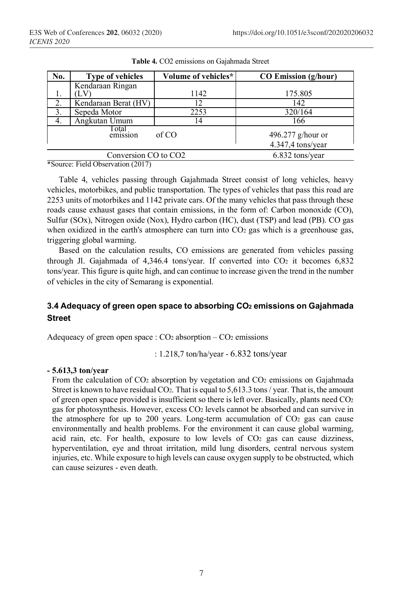| No.                              | <b>Type of vehicles</b> | Volume of vehicles* | <b>CO Emission (g/hour)</b>            |
|----------------------------------|-------------------------|---------------------|----------------------------------------|
|                                  | Kendaraan Ringan        |                     |                                        |
|                                  |                         | 1142                | 175.805                                |
| 2.                               | Kendaraan Berat (HV)    | 12                  | 142                                    |
| 3                                | Sepeda Motor            | 2253                | 320/164                                |
| 4.                               | Angkutan Umum           | 14                  | 166                                    |
| Total<br>of CO<br>emission       |                         |                     | 496.277 g/hour or<br>4.347,4 tons/year |
| Conversion CO to CO <sub>2</sub> |                         |                     | 6.832 tons/year                        |

**Table 4.** CO2 emissions on Gajahmada Street

\*Source: Field Observation (2017)

Table 4, vehicles passing through Gajahmada Street consist of long vehicles, heavy vehicles, motorbikes, and public transportation. The types of vehicles that pass this road are 2253 units of motorbikes and 1142 private cars. Of the many vehicles that pass through these roads cause exhaust gases that contain emissions, in the form of: Carbon monoxide (CO), Sulfur (SOx), Nitrogen oxide (Nox), Hydro carbon (HC), dust (TSP) and lead (PB). CO gas when oxidized in the earth's atmosphere can turn into  $CO<sub>2</sub>$  gas which is a greenhouse gas, triggering global warming.

Based on the calculation results, CO emissions are generated from vehicles passing through Jl. Gajahmada of 4,346.4 tons/year. If converted into CO<sub>2</sub> it becomes 6,832 tons/year. This figure is quite high, and can continue to increase given the trend in the number of vehicles in the city of Semarang is exponential.

### **3.4 Adequacy of green open space to absorbing CO2 emissions on Gajahmada Street**

Adequeacy of green open space :  $CO<sub>2</sub>$  absorption –  $CO<sub>2</sub>$  emissions

: 1.218,7 ton/ha/year - 6.832 tons/year

#### **- 5.613,3 ton/year**

From the calculation of CO2 absorption by vegetation and CO2 emissions on Gajahmada Street is known to have residual  $CO<sub>2</sub>$ . That is equal to 5,613.3 tons / year. That is, the amount of green open space provided is insufficient so there is left over. Basically, plants need CO2 gas for photosynthesis. However, excess CO2 levels cannot be absorbed and can survive in the atmosphere for up to 200 years. Long-term accumulation of  $CO<sub>2</sub>$  gas can cause environmentally and health problems. For the environment it can cause global warming, acid rain, etc. For health, exposure to low levels of  $CO<sub>2</sub>$  gas can cause dizziness, hyperventilation, eye and throat irritation, mild lung disorders, central nervous system injuries, etc. While exposure to high levels can cause oxygen supply to be obstructed, which can cause seizures - even death.